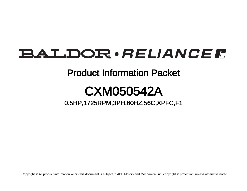# BALDOR · RELIANCE F

# Product Information Packet

# CXM050542A

0.5HP,1725RPM,3PH,60HZ,56C,XPFC,F1

Copyright © All product information within this document is subject to ABB Motors and Mechanical Inc. copyright © protection, unless otherwise noted.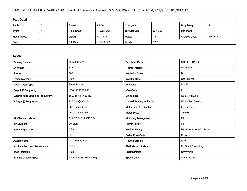## BALDOR · RELIANCE F Product Information Packet: CXM050542A - 0.5HP,1725RPM,3PH,60HZ,56C,XPFC,F1

| <b>Part Detail</b> |    |             |            |             |        |                      |            |  |
|--------------------|----|-------------|------------|-------------|--------|----------------------|------------|--|
| Revision:          | B  | Status:     | PRD/A      | Change #:   |        | Proprietary:         | No         |  |
| Type:              | AC | Elec. Spec: | 34WG1543   | CD Diagram: | CD0007 | Mfg Plant:           |            |  |
| Mech. Spec:        |    | Layout:     | 34LY5329   | Poles:      | 04     | <b>Created Date:</b> | 08-06-2020 |  |
| Base:              |    | Eff. Date:  | 07-01-2022 | Leads:      | 12#18  |                      |            |  |

| <b>Specs</b>                           |                         |                                  |                                 |
|----------------------------------------|-------------------------|----------------------------------|---------------------------------|
| <b>Catalog Number:</b>                 | CXM050542A              | <b>Feedback Device:</b>          | NO FEEDBACK                     |
| Enclosure:                             | <b>XPFC</b>             | <b>Heater Indicator:</b>         | No Heater                       |
| Frame:                                 | 56C                     | <b>Insulation Class:</b>         | в                               |
| <b>Frame Material:</b>                 | Steel                   | <b>Inverter Code:</b>            | Not Inverter                    |
| Motor Letter Type:                     | Three Phase             | IP Rating:                       | <b>NONE</b>                     |
| Output @ Frequency:                    | .500 HP @ 60 HZ         | <b>KVA Code:</b>                 | L.                              |
| Synchronous Speed @ Frequency:         | 1800 RPM @ 60 HZ        | <b>Lifting Lugs:</b>             | No Lifting Lugs                 |
| Voltage @ Frequency:                   | 230.0 V @ 60 HZ         | <b>Locked Bearing Indicator:</b> | No Locked Bearing               |
|                                        | 208.0 V @ 60 HZ         | <b>Motor Lead Termination:</b>   | Flying Leads                    |
|                                        | 460.0 V @ 60 HZ         | Motor Type:                      | 3416M                           |
| XP Class and Group:                    | CLI GP D; CLII GP F,G   | <b>Mounting Arrangement:</b>     | F <sub>1</sub>                  |
| <b>XP Division:</b>                    | Division I              | <b>Power Factor:</b>             | 63                              |
| <b>Agency Approvals:</b>               | <b>CSA</b>              | <b>Product Family:</b>           | <b>Hazardous Location Motor</b> |
|                                        | <b>UR</b>               | <b>Pulley Face Code:</b>         | C-Face                          |
| <b>Auxillary Box:</b>                  | No Auxillary Box        | <b>Rodent Screen:</b>            | None                            |
| <b>Auxillary Box Lead Termination:</b> | None                    | <b>Shaft Ground Indicator:</b>   | No Shaft Grounding              |
| <b>Base Indicator:</b>                 | Rigid                   | <b>Shaft Rotation:</b>           | Reversible                      |
| <b>Bearing Grease Type:</b>            | Polyrex EM (-20F +300F) | <b>Speed Code:</b>               | Single Speed                    |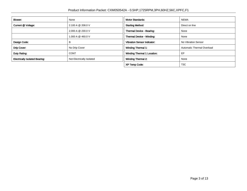| Blower:                               | None                      | <b>Motor Standards:</b>            | <b>NEMA</b>                |
|---------------------------------------|---------------------------|------------------------------------|----------------------------|
| Current @ Voltage:                    | 2.100 A @ 208.0 V         | <b>Starting Method:</b>            | Direct on line             |
|                                       | 2.000 A @ 230.0 V         | Thermal Device - Bearing:          | None                       |
|                                       | 1.000 A @ 460.0 V         | <b>Thermal Device - Winding:</b>   | None                       |
| Design Code:                          | в                         | <b>Vibration Sensor Indicator:</b> | No Vibration Sensor        |
| Drip Cover:                           | No Drip Cover             | <b>Winding Thermal 1:</b>          | Automatic Thermal Overload |
| Duty Rating:                          | <b>CONT</b>               | <b>Winding Thermal 1 Location:</b> | EP                         |
| <b>Electrically Isolated Bearing:</b> | Not Electrically Isolated | <b>Winding Thermal 2:</b>          | None                       |
|                                       |                           | <b>XP Temp Code:</b>               | T <sub>3</sub> C           |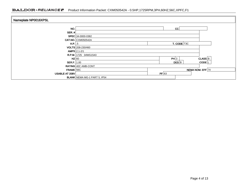### BALDOR · RELIANCE F Product Information Packet: CXM050542A - 0.5HP,1725RPM,3PH,60HZ,56C,XPFC,F1

| Nameplate NP0016XPSL |                                     |         |                           |  |
|----------------------|-------------------------------------|---------|---------------------------|--|
| NO.                  |                                     |         | CC                        |  |
| SER. $#$             |                                     |         |                           |  |
|                      | SPEC 34-0000-0382                   |         |                           |  |
|                      | CAT.NO. CXM050542A                  |         |                           |  |
| $H.P.$ .5            |                                     |         | T. CODE T3C               |  |
|                      | VOLTS 208-230/460                   |         |                           |  |
|                      | $AMPS$ 2.1-2/1                      |         |                           |  |
|                      | R.P.M. 1725 34WG1543                |         |                           |  |
| $HZ$ 60              |                                     |         | $CLASS$ $B$<br>PH 3       |  |
| <b>SER.F.</b> 1.00   |                                     |         | $CODE$  L<br><b>DES</b> B |  |
|                      | RATING 40C AMB-CONT                 |         |                           |  |
| $FRAME$ 56C          |                                     |         | NEMA NOM. EFF 74          |  |
| USABLE AT 208V       |                                     | $PF$ 63 |                           |  |
|                      | <b>BLANK</b> NEMA MG-1 PART 5, IP54 |         |                           |  |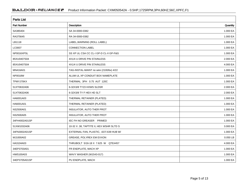| <b>Parts List</b> |                                          |          |  |  |  |  |
|-------------------|------------------------------------------|----------|--|--|--|--|
| Part Number       | Description                              | Quantity |  |  |  |  |
| SA385404          | SA 34-0000-0382                          | 1.000 EA |  |  |  |  |
| RA375645          | RA 34-0000-0382                          | 1.000 EA |  |  |  |  |
| LB1118            | LABEL, WARNING (ROLL LABEL)              | 1.000 EA |  |  |  |  |
| LC0007            | <b>CONNECTION LABEL</b>                  | 1.000 EA |  |  |  |  |
| NP0016XPSL        | SS XP UL CSA CC CL-I GP-D CL-II GP-F&G   | 1.000 EA |  |  |  |  |
| 85XU0407S04       | 4X1/4 U DRIVE PIN STAINLESS              | 2.000 EA |  |  |  |  |
| 85XU0407S04       | 4X1/4 U DRIVE PIN STAINLESS              | 4.000 EA |  |  |  |  |
| MN416A01          | TAG-INSTAL-MAINT no wire (2100/bx) 4/22  | 1.000 EA |  |  |  |  |
| NP0018W           | ALUM UL XP CONDUIT BOX NAMEPLATE         | 1.000 EA |  |  |  |  |
| TPMYJ70KX         | THERMAL 3PH 0.75 AUT 120C                | 1.000 EA |  |  |  |  |
| 51XT0632A06       | 6-32X3/8 TY23 HXWS SLDSR                 | 2.000 EA |  |  |  |  |
| 51XT0632A06       | 6-32X3/8 TY F HEX HD SLT                 | 2.000 EA |  |  |  |  |
| HA6001A03         | THERMAL RETAINER (PLATED)                | 1.000 EA |  |  |  |  |
| HA6001A01         | THERMAL RETAINER (PLATED)                | 1.000 EA |  |  |  |  |
| NS2500A01         | <b>INSULATOR, AUTO THER PROT</b>         | 1.000 EA |  |  |  |  |
| NS2500A05         | INSULATOR, AUTO THER PROT                | 1.000 EA |  |  |  |  |
| 34FH4002A01SP     | IEC FH NO GREASER PRIMED                 | 1.000 EA |  |  |  |  |
| 51XW1032A06       | 10-32 X .38, TAPTITE II, HEX WSHR SLTD S | 3.000 EA |  |  |  |  |
| 34FN3002A01SP     | EXTERNAL FAN, PLASTIC, .637/.639 HUB W/  | 1.000 EA |  |  |  |  |
| MJ1000A02         | GREASE, POLYREX EM EXXON                 | 0.050 LB |  |  |  |  |
| HA3104A03         | THRUBOLT 5/16-18 X 7.625 W QTE#457       | 4.000 EA |  |  |  |  |
| 34EP3703A01       | FR ENDPLATE, MACH XP                     | 1.000 EA |  |  |  |  |
| HW5100A03         | WAVY WASHER (W1543-017)                  | 1.000 EA |  |  |  |  |
| 34EP3705A01SP     | PU ENDPLATE, MACH                        | 1.000 EA |  |  |  |  |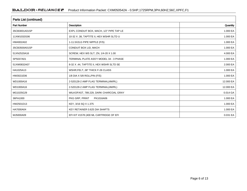| <b>Parts List (continued)</b> |                                          |           |  |  |  |
|-------------------------------|------------------------------------------|-----------|--|--|--|
| <b>Part Number</b>            | Description                              | Quantity  |  |  |  |
| 35CB3001A01SP                 | EXPL CONDUIT BOX, MACH, 1/2" PIPE TAP LE | 1.000 EA  |  |  |  |
| 11XW1032G06                   | 10-32 X .38, TAPTITE II, HEX WSHR SLTD U | 1.000 EA  |  |  |  |
| HW4002A02                     | 1-11.5X2LG PIPE NIPPLE (F/S)             | 1.000 EA  |  |  |  |
| 35CB3500A01SP                 | CONDUIT BOX LID, MACH                    | 1.000 EA  |  |  |  |
| 51XN2520A16                   | SCREW, HEX WS SLT, ZN, 1/4-20 X 1.00     | 4.000 EA  |  |  |  |
| SP5037A01                     | TERMINAL PLATE ASS'Y MODEL 34 - 3 PHASE  | 1.000 EA  |  |  |  |
| 51XW0832A07                   | 8-32 X .44, TAPTITE II, HEX WSHR SLTD SE | 2.000 EA  |  |  |  |
| HA1025A13                     | WSHR, FELT, 38" THICK F-26 CLASS         | 1.000 EA  |  |  |  |
| HW3021E06                     | 1/8 DIA X 5/8 ROLLPIN (F/S)              | 1.000 EA  |  |  |  |
| WD1000A16                     | 2-520128-2 AMP FLAG TERMINAL(4M/RL)      | 12.000 EA |  |  |  |
| WD1000A16                     | 2-520128-2 AMP FLAG TERMINAL(4M/RL)      | 12.000 EA |  |  |  |
| MG1025G29                     | WILKOFAST, 789.229, DARK CHARCOAL GRAY   | 0.014 GA  |  |  |  |
| 36PA1000                      | PKG GRP, PRINT<br>PK1016A06              | 1.000 EA  |  |  |  |
| HW2501D13                     | KEY, 3/16 SQ X 1.375                     | 1.000 EA  |  |  |  |
| HA7000A04                     | KEY RETAINER 0.625 DIA SHAFTS            | 1.000 EA  |  |  |  |
| MJ5000A09                     | EFI KIT #1578 (400 ML CARTRIDGE OF EFI   | 0.031 EA  |  |  |  |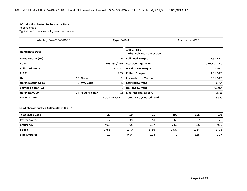#### **AC Induction Motor Performance Data**

Record # 6627Typical performance - not guaranteed values

| Winding: 34WG1543-R002<br><b>Type: 3416M</b> |                        | <b>Enclosure: XPFC</b> |                                                 |                |  |
|----------------------------------------------|------------------------|------------------------|-------------------------------------------------|----------------|--|
| <b>Nameplate Data</b>                        |                        |                        | 460 V, 60 Hz:<br><b>High Voltage Connection</b> |                |  |
| <b>Rated Output (HP)</b>                     |                        | .5                     | <b>Full Load Torque</b>                         | $1.5$ LB-FT    |  |
| <b>Volts</b>                                 |                        | 208-230/460            | <b>Start Configuration</b>                      | direct on line |  |
| <b>Full Load Amps</b>                        |                        | $2.1 - 2/1$            | <b>Breakdown Torque</b>                         | 6.5 LB-FT      |  |
| <b>R.P.M.</b>                                |                        | 1725                   | <b>Pull-up Torque</b>                           | $4.5$ LB-FT    |  |
| Hz                                           | 60 Phase               | 3                      | <b>Locked-rotor Torque</b>                      | 5.6 LB-FT      |  |
| <b>NEMA Design Code</b>                      | <b>B KVA Code</b>      |                        | <b>Starting Current</b>                         | 6.7 A          |  |
| <b>Service Factor (S.F.)</b>                 |                        |                        | <b>No-load Current</b>                          | 0.89A          |  |
| <b>NEMA Nom. Eff.</b>                        | <b>74 Power Factor</b> | 63                     | Line-line Res. @ 25°C                           | $33 \Omega$    |  |
| <b>Rating - Duty</b>                         |                        | 40C AMB-CONT           | Temp. Rise @ Rated Load                         | $59^{\circ}$ C |  |

**Load Characteristics 460 V, 60 Hz, 0.5 HP**

| % of Rated Load     | 25   | 50   | 75   | 100  | 125  | 150  |
|---------------------|------|------|------|------|------|------|
| <b>Power Factor</b> | 27   | 39   | 51   | 60   | 67   | 72   |
| Efficiency          | 49.8 | 65   | 71.7 | 74.5 | 75.6 | 75.5 |
| Speed               | 1785 | 1770 | 1756 | 1737 | 1724 | 1705 |
| Line amperes        | 0.9  | 0.94 | 0.98 |      | 1.15 | 1.27 |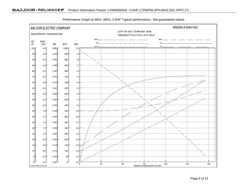

Performance Graph at 460V, 60Hz, 0.5HP Typical performance - Not guaranteed values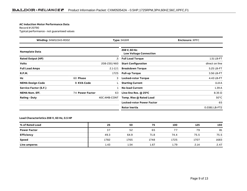#### **AC Induction Motor Performance Data**

Record # 20790Typical performance - not guaranteed values

| Winding: 34WG1543-R002   |                        | <b>Enclosure: XPFC</b><br><b>Type: 3416M</b> |                                                |                |
|--------------------------|------------------------|----------------------------------------------|------------------------------------------------|----------------|
| <b>Nameplate Data</b>    |                        |                                              | 208 V, 60 Hz:<br><b>Low Voltage Connection</b> |                |
| <b>Rated Output (HP)</b> |                        | .5                                           | <b>Full Load Torque</b>                        | 1.51 LB-FT     |
| <b>Volts</b>             |                        | 208-230/460                                  | <b>Start Configuration</b>                     | direct on line |
| <b>Full Load Amps</b>    |                        | $2.1 - 2/1$                                  | <b>Breakdown Torque</b>                        | 5.25 LB-FT     |
| <b>R.P.M.</b>            |                        | 1725                                         | <b>Pull-up Torque</b>                          | 3.56 LB-FT     |
| Hz                       | 60 Phase               | 3                                            | <b>Locked-rotor Torque</b>                     | 4.43 LB-FT     |
| <b>NEMA Design Code</b>  | <b>B KVA Code</b>      |                                              | <b>Starting Current</b>                        | 11.8 A         |
| Service Factor (S.F.)    |                        |                                              | <b>No-load Current</b>                         | 1.39A          |
| <b>NEMA Nom. Eff.</b>    | <b>74 Power Factor</b> | 63                                           | Line-line Res. @ 25°C                          | $8.35 \Omega$  |
| <b>Rating - Duty</b>     |                        | 40C AMB-CONT                                 | Temp. Rise @ Rated Load                        | $50^{\circ}$ C |
|                          |                        |                                              | Locked-rotor Power Factor                      | 65             |
|                          |                        |                                              | Rotor inertia                                  | 0.0381 LB-FT2  |

### **Load Characteristics 208 V, 60 Hz, 0.5 HP**

| % of Rated Load     | 25   | 50   | 75   | 100  | 125  | 150  |
|---------------------|------|------|------|------|------|------|
| <b>Power Factor</b> | 37   | 52   | 65   | 77   | 79   | 81   |
| <b>Efficiency</b>   | 49.3 | 64.9 | 71.8 | 74.4 | 75.5 | 75.5 |
| <b>Speed</b>        | 1782 | 1765 | 1748 | 1725 | 1707 | 1683 |
| Line amperes        | 1.43 | 1.54 | 1.67 | 1.79 | 2.14 | 2.47 |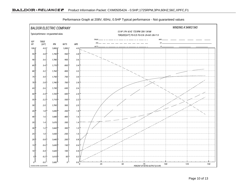

Performance Graph at 208V, 60Hz, 0.5HP Typical performance - Not guaranteed values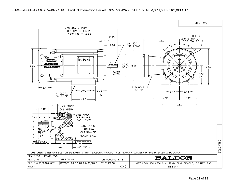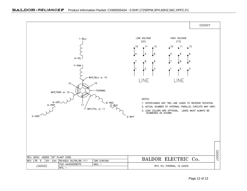